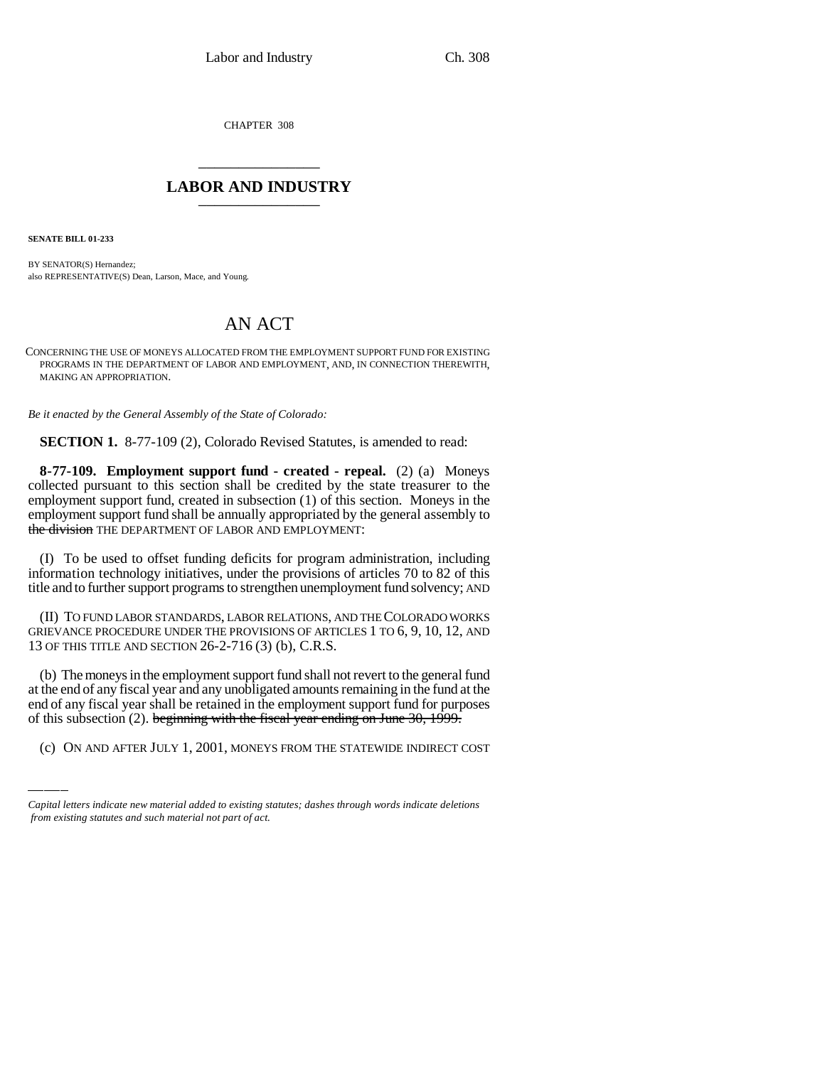CHAPTER 308

# \_\_\_\_\_\_\_\_\_\_\_\_\_\_\_ **LABOR AND INDUSTRY** \_\_\_\_\_\_\_\_\_\_\_\_\_\_\_

**SENATE BILL 01-233**

BY SENATOR(S) Hernandez; also REPRESENTATIVE(S) Dean, Larson, Mace, and Young.

## AN ACT

CONCERNING THE USE OF MONEYS ALLOCATED FROM THE EMPLOYMENT SUPPORT FUND FOR EXISTING PROGRAMS IN THE DEPARTMENT OF LABOR AND EMPLOYMENT, AND, IN CONNECTION THEREWITH, MAKING AN APPROPRIATION.

*Be it enacted by the General Assembly of the State of Colorado:*

**SECTION 1.** 8-77-109 (2), Colorado Revised Statutes, is amended to read:

**8-77-109. Employment support fund - created - repeal.** (2) (a) Moneys collected pursuant to this section shall be credited by the state treasurer to the employment support fund, created in subsection (1) of this section. Moneys in the employment support fund shall be annually appropriated by the general assembly to the division THE DEPARTMENT OF LABOR AND EMPLOYMENT:

(I) To be used to offset funding deficits for program administration, including information technology initiatives, under the provisions of articles 70 to 82 of this title and to further support programs to strengthen unemployment fund solvency; AND

(II) TO FUND LABOR STANDARDS, LABOR RELATIONS, AND THE COLORADO WORKS GRIEVANCE PROCEDURE UNDER THE PROVISIONS OF ARTICLES 1 TO 6, 9, 10, 12, AND 13 OF THIS TITLE AND SECTION 26-2-716 (3) (b), C.R.S.

at the end of any fiscal year and any unobligated amounts remaining in the fund at the (b) The moneys in the employment support fund shall not revert to the general fund end of any fiscal year shall be retained in the employment support fund for purposes of this subsection (2). beginning with the fiscal year ending on June 30, 1999.

(c) ON AND AFTER JULY 1, 2001, MONEYS FROM THE STATEWIDE INDIRECT COST

*Capital letters indicate new material added to existing statutes; dashes through words indicate deletions from existing statutes and such material not part of act.*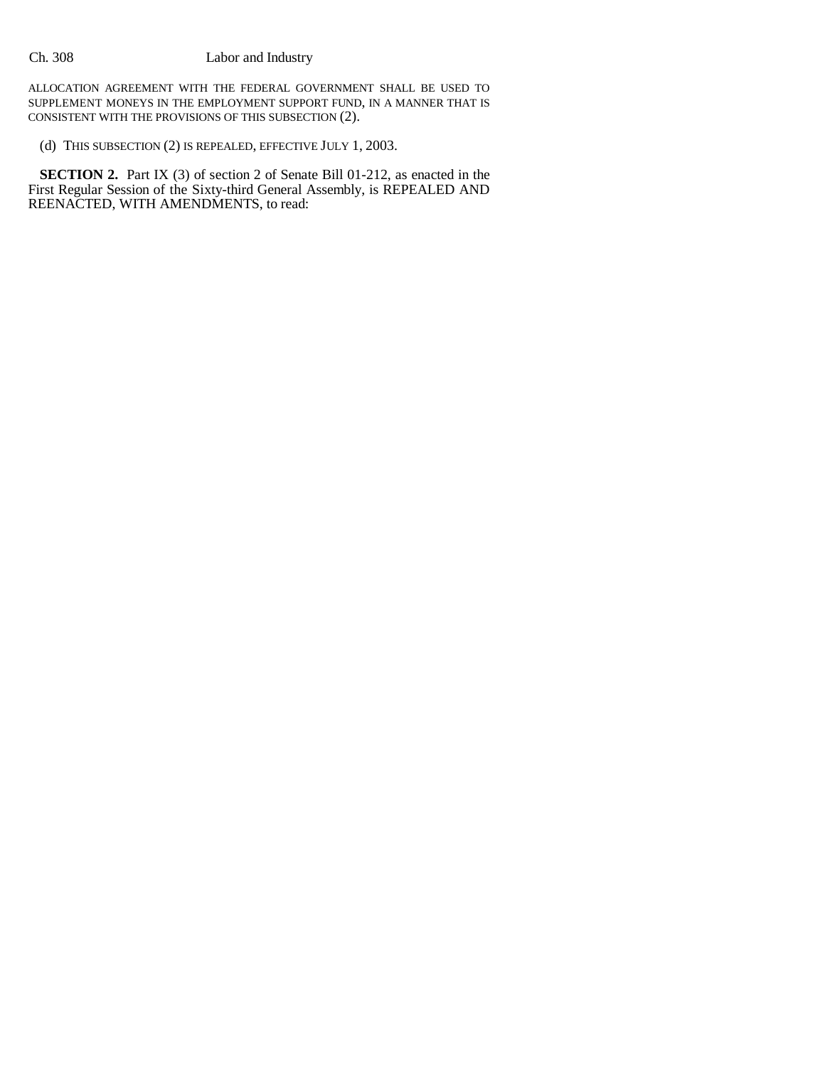ALLOCATION AGREEMENT WITH THE FEDERAL GOVERNMENT SHALL BE USED TO SUPPLEMENT MONEYS IN THE EMPLOYMENT SUPPORT FUND, IN A MANNER THAT IS CONSISTENT WITH THE PROVISIONS OF THIS SUBSECTION (2).

(d) THIS SUBSECTION (2) IS REPEALED, EFFECTIVE JULY 1, 2003.

**SECTION 2.** Part IX (3) of section 2 of Senate Bill 01-212, as enacted in the First Regular Session of the Sixty-third General Assembly, is REPEALED AND REENACTED, WITH AMENDMENTS, to read: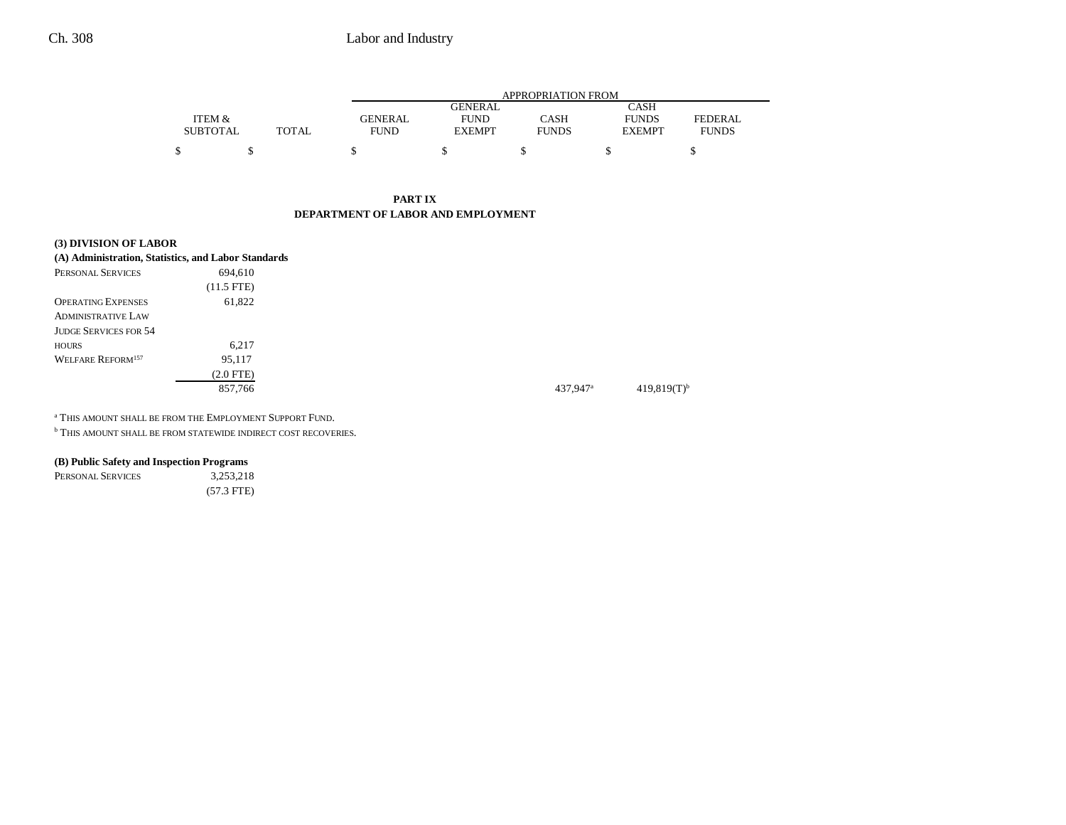### Ch. 308 Labor and Industry

|                 |       | APPROPRIATION FROM |                |              |               |              |  |  |
|-----------------|-------|--------------------|----------------|--------------|---------------|--------------|--|--|
|                 |       |                    | <b>GENERAL</b> |              | <b>CASH</b>   |              |  |  |
| ITEM &          |       | <b>GENERAL</b>     | <b>FUND</b>    | CASH         | <b>FUNDS</b>  | FEDERAL      |  |  |
| <b>SUBTOTAL</b> | TOTAL | <b>FUND</b>        | <b>EXEMPT</b>  | <b>FUNDS</b> | <b>EXEMPT</b> | <b>FUNDS</b> |  |  |
|                 |       |                    |                |              |               |              |  |  |

#### **PART IXDEPARTMENT OF LABOR AND EMPLOYMENT**

| (3) DIVISION OF LABOR                               |                      |
|-----------------------------------------------------|----------------------|
| (A) Administration, Statistics, and Labor Standards |                      |
| PERSONAL SERVICES<br>694.610                        |                      |
| $(11.5$ FTE)                                        |                      |
| 61,822<br><b>OPERATING EXPENSES</b>                 |                      |
| <b>ADMINISTRATIVE LAW</b>                           |                      |
| <b>JUDGE SERVICES FOR 54</b>                        |                      |
| 6.217<br><b>HOURS</b>                               |                      |
| <b>WELFARE REFORM<sup>157</sup></b><br>95,117       |                      |
| $(2.0$ FTE)                                         |                      |
| 857,766                                             | 437.947 <sup>a</sup> |

a THIS AMOUNT SHALL BE FROM THE EMPLOYMENT SUPPORT FUND.

**b THIS AMOUNT SHALL BE FROM STATEWIDE INDIRECT COST RECOVERIES.** 

### **(B) Public Safety and Inspection Programs**

PERSONAL SERVICES 3,253,218 (57.3 FTE)